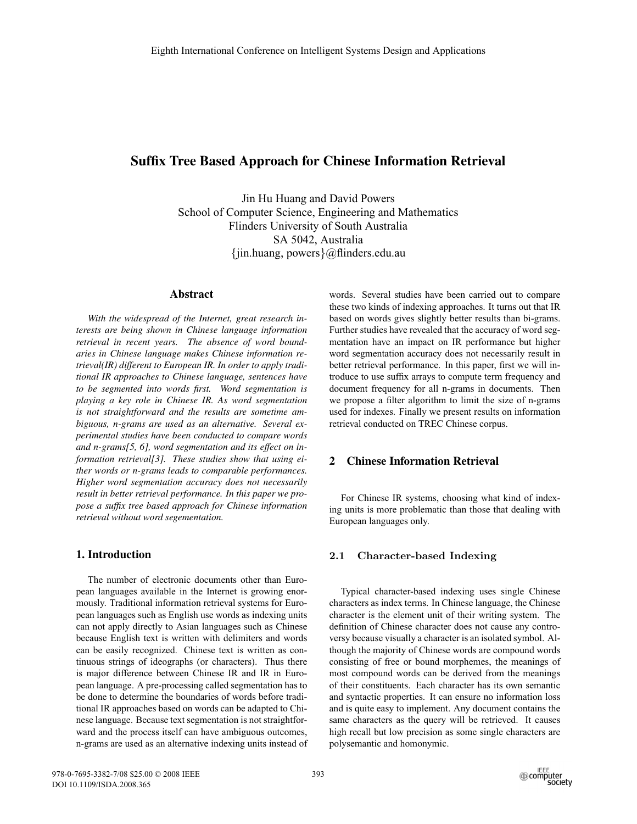# **Suffix Tree Based Approach for Chinese Information Retrieval**

Jin Hu Huang and David Powers School of Computer Science, Engineering and Mathematics Flinders University of South Australia SA 5042, Australia  $\{$ iin.huang, powers $\}$ @flinders.edu.au

## **Abstract**

*With the widespread of the Internet, great research interests are being shown in Chinese language information retrieval in recent years. The absence of word boundaries in Chinese language makes Chinese information retrieval(IR) different to European IR. In order to apply traditional IR approaches to Chinese language, sentences have to be segmented into words first. Word segmentation is playing a key role in Chinese IR. As word segmentation is not straightforward and the results are sometime ambiguous, n-grams are used as an alternative. Several experimental studies have been conducted to compare words and n-grams[5, 6], word segmentation and its effect on information retrieval[3]. These studies show that using either words or n-grams leads to comparable performances. Higher word segmentation accuracy does not necessarily result in better retrieval performance. In this paper we propose a suffix tree based approach for Chinese information retrieval without word segementation.*

## **1. Introduction**

The number of electronic documents other than European languages available in the Internet is growing enormously. Traditional information retrieval systems for European languages such as English use words as indexing units can not apply directly to Asian languages such as Chinese because English text is written with delimiters and words can be easily recognized. Chinese text is written as continuous strings of ideographs (or characters). Thus there is major difference between Chinese IR and IR in European language. A pre-processing called segmentation has to be done to determine the boundaries of words before traditional IR approaches based on words can be adapted to Chinese language. Because text segmentation is not straightforward and the process itself can have ambiguous outcomes, n-grams are used as an alternative indexing units instead of words. Several studies have been carried out to compare these two kinds of indexing approaches. It turns out that IR based on words gives slightly better results than bi-grams. Further studies have revealed that the accuracy of word segmentation have an impact on IR performance but higher word segmentation accuracy does not necessarily result in better retrieval performance. In this paper, first we will introduce to use suffix arrays to compute term frequency and document frequency for all n-grams in documents. Then we propose a filter algorithm to limit the size of n-grams used for indexes. Finally we present results on information retrieval conducted on TREC Chinese corpus.

## **2 Chinese Information Retrieval**

For Chinese IR systems, choosing what kind of indexing units is more problematic than those that dealing with European languages only.

### **2.1 Character-based Indexing**

Typical character-based indexing uses single Chinese characters as index terms. In Chinese language, the Chinese character is the element unit of their writing system. The definition of Chinese character does not cause any controversy because visually a character is an isolated symbol. Although the majority of Chinese words are compound words consisting of free or bound morphemes, the meanings of most compound words can be derived from the meanings of their constituents. Each character has its own semantic and syntactic properties. It can ensure no information loss and is quite easy to implement. Any document contains the same characters as the query will be retrieved. It causes high recall but low precision as some single characters are polysemantic and homonymic.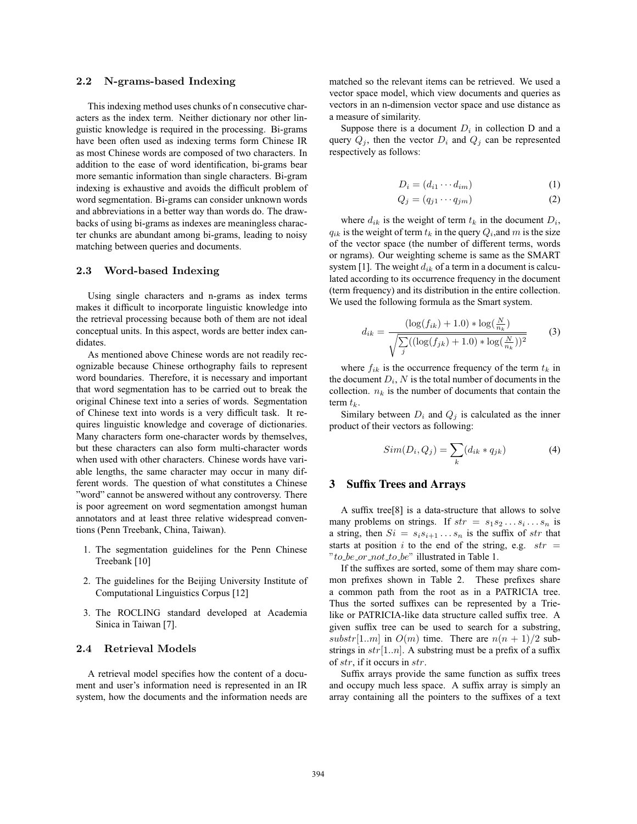#### **2.2 N-grams-based Indexing**

This indexing method uses chunks of n consecutive characters as the index term. Neither dictionary nor other linguistic knowledge is required in the processing. Bi-grams have been often used as indexing terms form Chinese IR as most Chinese words are composed of two characters. In addition to the ease of word identification, bi-grams bear more semantic information than single characters. Bi-gram indexing is exhaustive and avoids the difficult problem of word segmentation. Bi-grams can consider unknown words and abbreviations in a better way than words do. The drawbacks of using bi-grams as indexes are meaningless character chunks are abundant among bi-grams, leading to noisy matching between queries and documents.

#### **2.3 Word-based Indexing**

Using single characters and n-grams as index terms makes it difficult to incorporate linguistic knowledge into the retrieval processing because both of them are not ideal conceptual units. In this aspect, words are better index candidates.

As mentioned above Chinese words are not readily recognizable because Chinese orthography fails to represent word boundaries. Therefore, it is necessary and important that word segmentation has to be carried out to break the original Chinese text into a series of words. Segmentation of Chinese text into words is a very difficult task. It requires linguistic knowledge and coverage of dictionaries. Many characters form one-character words by themselves, but these characters can also form multi-character words when used with other characters. Chinese words have variable lengths, the same character may occur in many different words. The question of what constitutes a Chinese "word" cannot be answered without any controversy. There is poor agreement on word segmentation amongst human annotators and at least three relative widespread conventions (Penn Treebank, China, Taiwan).

- 1. The segmentation guidelines for the Penn Chinese Treebank [10]
- 2. The guidelines for the Beijing University Institute of Computational Linguistics Corpus [12]
- 3. The ROCLING standard developed at Academia Sinica in Taiwan [7].

### **2.4 Retrieval Models**

A retrieval model specifies how the content of a document and user's information need is represented in an IR system, how the documents and the information needs are matched so the relevant items can be retrieved. We used a vector space model, which view documents and queries as vectors in an n-dimension vector space and use distance as a measure of similarity.

Suppose there is a document  $D_i$  in collection D and a query  $Q_i$ , then the vector  $D_i$  and  $Q_i$  can be represented respectively as follows:

$$
D_i = (d_{i1} \cdots d_{im})
$$
 (1)

$$
Q_j = (q_{j1} \cdots q_{jm})
$$
 (2)

where  $d_{ik}$  is the weight of term  $t_k$  in the document  $D_i$ ,  $q_{ik}$  is the weight of term  $t_k$  in the query  $Q_i$ , and m is the size of the vector space (the number of different terms, words or ngrams). Our weighting scheme is same as the SMART system [1]. The weight  $d_{ik}$  of a term in a document is calculated according to its occurrence frequency in the document (term frequency) and its distribution in the entire collection. We used the following formula as the Smart system.

$$
d_{ik} = \frac{(\log(f_{ik}) + 1.0) * \log(\frac{N}{n_k})}{\sqrt{\sum_{j} ((\log(f_{jk}) + 1.0) * \log(\frac{N}{n_k}))^2}}
$$
(3)

where  $f_{ik}$  is the occurrence frequency of the term  $t_k$  in the document  $D_i$ , N is the total number of documents in the collection.  $n_k$  is the number of documents that contain the term  $t_k$ .

Similary between  $D_i$  and  $Q_j$  is calculated as the inner product of their vectors as following:

$$
Sim(D_i, Q_j) = \sum_{k} (d_{ik} * q_{jk})
$$
\n(4)

#### **3 Suffix Trees and Arrays**

A suffix tree[8] is a data-structure that allows to solve many problems on strings. If  $str = s_1 s_2 \dots s_i \dots s_n$  is a string, then  $Si = s_i s_{i+1} \dots s_n$  is the suffix of str that starts at position i to the end of the string, e.g.  $str =$ " $to \text{de\_or\_not\_to\_be}$ " illustrated in Table 1.

If the suffixes are sorted, some of them may share common prefixes shown in Table 2. These prefixes share a common path from the root as in a PATRICIA tree. Thus the sorted suffixes can be represented by a Trielike or PATRICIA-like data structure called suffix tree. A given suffix tree can be used to search for a substring, substr[1..m] in  $O(m)$  time. There are  $n(n + 1)/2$  substrings in  $str[1..n]$ . A substring must be a prefix of a suffix of str, if it occurs in str.

Suffix arrays provide the same function as suffix trees and occupy much less space. A suffix array is simply an array containing all the pointers to the suffixes of a text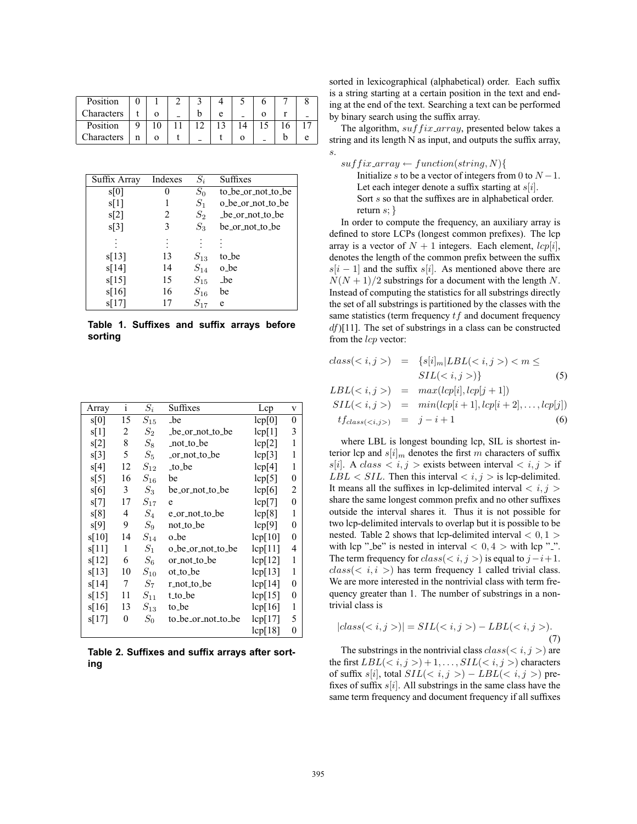| Position   |   |  |  |  |   |
|------------|---|--|--|--|---|
| Characters |   |  |  |  |   |
| Position   |   |  |  |  |   |
| Characters | n |  |  |  | e |

| Suffix Array | Indexes | $S_i$    | Suffixes           |
|--------------|---------|----------|--------------------|
| s[0]         |         | $S_0$    | to_be_or_not_to_be |
| s[1]         |         | $S_1$    | o_be_or_not_to_be  |
| s[2]         | 2       | $S_2$    | be or not to be    |
| s[3]         | 3       | $S_3$    | be_or_not_to_be    |
|              |         |          |                    |
| s[13]        | 13      | $S_{13}$ | to_be              |
| s[14]        | 14      | $S_{14}$ | o_be               |
| s[15]        | 15      | $S_{15}$ | be                 |
| s[16]        | 16      | $S_{16}$ | be                 |
| s[17]        |         | $S_{17}$ | e                  |

**Table 1. Suffixes and suffix arrays before sorting**

| Array | $\mathbf{i}$ | $S_i$               | Suffixes           | Lep     | V                |
|-------|--------------|---------------------|--------------------|---------|------------------|
| s[0]  | 15           | $\overline{S}_{15}$ | _be                | lcp[0]  | 0                |
| s[1]  | 2            | $S_2$               | be_or_not_to_be    | lcp[1]  | 3                |
| s[2]  | 8            | $S_8^-$             | _not_to_be         | lcp[2]  | $\mathbf{1}$     |
| s[3]  | 5            | $S_5$               | _or_not_to_be      | lcp[3]  | $\mathbf{1}$     |
| s[4]  | 12           | $S_{12}$            | $\pm$ to $\pm$ be  | lcp[4]  | $\mathbf{1}$     |
| s[5]  | 16           | $S_{16}$            | be                 | lcp[5]  | 0                |
| s[6]  | 3            | $S_3$               | be_or_not_to_be    | lcp[6]  | 2                |
| s[7]  | 17           | $S_{17}$            | e                  | lcp[7]  | $\boldsymbol{0}$ |
| s[8]  | 4            | $S_4$               | e_or_not_to_be     | lcp[8]  | 1                |
| s[9]  | 9            | $S_9$               | not_to_be          | lcp[9]  | 0                |
| s[10] | 14           | $S_{14}$            | o_be               | lcp[10] | 0                |
| s[11] | 1            | $S_1$               | o_be_or_not_to_be  | lcp[11] | 4                |
| s[12] | 6            | $S_6$               | or_not_to_be       | lcp[12] | $\mathbf{1}$     |
| s[13] | 10           | $S_{10}$            | ot_to_be           | lcp[13] | 1                |
| s[14] | 7            | $S_7$               | r_not_to_be        | lcp[14] | 0                |
| s[15] | 11           | $S_{11}$            | t_to_be            | lcp[15] | 0                |
| s[16] | 13           | $S_{13}$            | to_be              | lcp[16] | 1                |
| s[17] | 0            | $S_0$               | to_be_or_not_to_be | lcp[17] | 5                |
|       |              |                     |                    | lcp[18] | 0                |

**Table 2. Suffixes and suffix arrays after sorting**

sorted in lexicographical (alphabetical) order. Each suffix is a string starting at a certain position in the text and ending at the end of the text. Searching a text can be performed by binary search using the suffix array.

The algorithm,  $\frac{suffix\_array}{s}$ , presented below takes a string and its length N as input, and outputs the suffix array, s.

| $sufficient(sstring, N)$ {                                |
|-----------------------------------------------------------|
| Initialize s to be a vector of integers from 0 to $N-1$ . |
| Let each integer denote a suffix starting at $s[i]$ .     |
| Sort s so that the suffixes are in alphabetical order.    |
| return $s$ ; }                                            |
| In order to compute the frequency, an auxiliary array is  |

defined to store LCPs (longest common prefixes). The lcp array is a vector of  $N + 1$  integers. Each element,  $lcp[i]$ , denotes the length of the common prefix between the suffix  $s[i - 1]$  and the suffix  $s[i]$ . As mentioned above there are  $N(N + 1)/2$  substrings for a document with the length N. Instead of computing the statistics for all substrings directly the set of all substrings is partitioned by the classes with the same statistics (term frequency  $tf$  and document frequency  $df$ [11]. The set of substrings in a class can be constructed from the *lcp* vector:

|                            | $class(i, j) = {s[i]m   LBL(i, j) < m \le$      |     |
|----------------------------|-------------------------------------------------|-----|
|                            | $SIL(i, j)\}$                                   | (5) |
|                            | $LBL(i, j) = max(lcp[i], lcp[j+1])$             |     |
|                            | $SIL(i, j) = min(lcp[i+1], lcp[i+2], , lcp[j])$ |     |
| $tf_{class()} = j - i + 1$ |                                                 | (6) |
|                            |                                                 |     |

where LBL is longest bounding lcp, SIL is shortest interior lcp and  $s[i]_m$  denotes the first m characters of suffix s[i]. A class  $\langle i, j \rangle$  exists between interval  $\langle i, j \rangle$  if  $LBL < SIL$ . Then this interval  $$  is lcp-delimited. It means all the suffixes in lcp-delimited interval  $\langle i, j \rangle$ share the same longest common prefix and no other suffixes outside the interval shares it. Thus it is not possible for two lcp-delimited intervals to overlap but it is possible to be nested. Table 2 shows that lcp-delimited interval  $< 0, 1 >$ with lcp " be" is nested in interval  $< 0, 4 >$  with lcp " "." The term frequency for  $class(< i, j>)$  is equal to  $j-i+1$ .  $class(< i, i>)$  has term frequency 1 called trivial class. We are more interested in the nontrivial class with term frequency greater than 1. The number of substrings in a nontrivial class is

$$
|class(i,j)|=SIL(i,j>)-LEL(i,j>). \tag{7}
$$

The substrings in the nontrivial class  $class(< i, j>)$  are the first  $LBL(*i*, *j*>) + 1, \ldots, SIL(*i*, *j*>)$  characters of suffix  $s[i]$ , total  $SIL(< i, j>) - LBL(< i, j>)$  prefixes of suffix  $s[i]$ . All substrings in the same class have the same term frequency and document frequency if all suffixes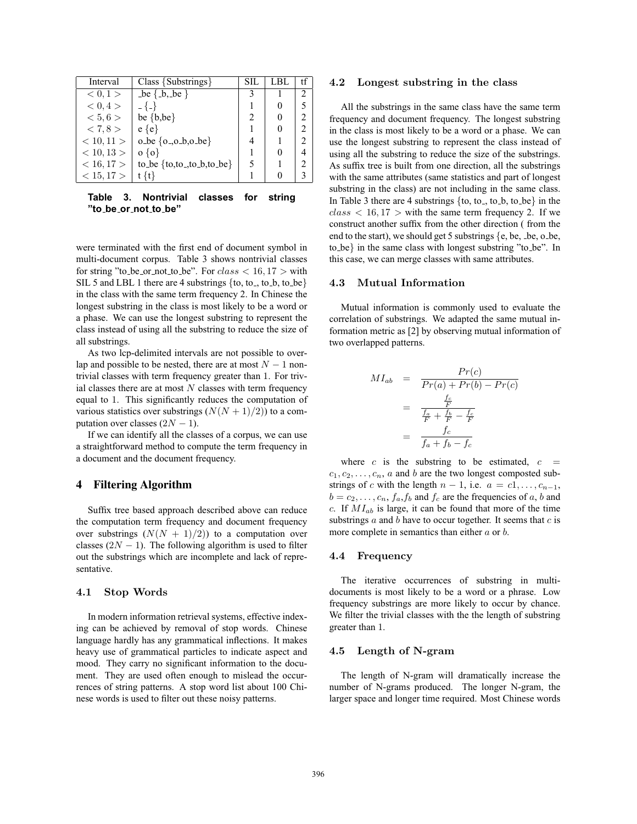| Interval   | Class {Substrings}                | SIL            | LBL      | tf                            |
|------------|-----------------------------------|----------------|----------|-------------------------------|
| < 0, 1 >   | $be \{ b, be \}$                  | 3              |          | 2                             |
| < 0, 4 >   | $-3$ $-1$                         |                | $\Omega$ | .5                            |
| < 5, 6 >   | be $\{b, be\}$                    | $\mathfrak{D}$ | 0        | $\mathcal{L}$                 |
| < 7.8 >    | $e\{e\}$                          |                | 0        | $\mathfrak{D}$                |
| < 10, 11 > | $o_e be \{o_{-}, o_e b, o_e be\}$ |                |          | $\mathfrak{D}$                |
| < 10, 13 > | $o\{o\}$                          |                | 0        | 4                             |
| < 16, 17 > | to_be $\{to, to, to, to, be\}$    | 5              |          | $\mathfrak{D}_{\mathfrak{p}}$ |
| < 15, 17 > | $t \{t\}$                         |                |          | $\mathcal{R}$                 |
|            |                                   |                |          |                               |

**Table 3. Nontrivial classes for string "to be or not to be"**

were terminated with the first end of document symbol in multi-document corpus. Table 3 shows nontrivial classes for string "to be or not to be". For  $class < 16, 17 >$  with SIL 5 and LBL 1 there are 4 substrings  $\{to, to, to, to, be\}$ in the class with the same term frequency 2. In Chinese the longest substring in the class is most likely to be a word or a phase. We can use the longest substring to represent the class instead of using all the substring to reduce the size of all substrings.

As two lcp-delimited intervals are not possible to overlap and possible to be nested, there are at most  $N - 1$  nontrivial classes with term frequency greater than 1. For trivial classes there are at most  $N$  classes with term frequency equal to 1. This significantly reduces the computation of various statistics over substrings  $(N(N + 1)/2)$  to a computation over classes  $(2N - 1)$ .

If we can identify all the classes of a corpus, we can use a straightforward method to compute the term frequency in a document and the document frequency.

#### **4 Filtering Algorithm**

Suffix tree based approach described above can reduce the computation term frequency and document frequency over substrings  $(N(N + 1)/2)$  to a computation over classes  $(2N - 1)$ . The following algorithm is used to filter out the substrings which are incomplete and lack of representative.

#### **4.1 Stop Words**

In modern information retrieval systems, effective indexing can be achieved by removal of stop words. Chinese language hardly has any grammatical inflections. It makes heavy use of grammatical particles to indicate aspect and mood. They carry no significant information to the document. They are used often enough to mislead the occurrences of string patterns. A stop word list about 100 Chinese words is used to filter out these noisy patterns.

#### **4.2 Longest substring in the class**

All the substrings in the same class have the same term frequency and document frequency. The longest substring in the class is most likely to be a word or a phase. We can use the longest substring to represent the class instead of using all the substring to reduce the size of the substrings. As suffix tree is built from one direction, all the substrings with the same attributes (same statistics and part of longest substring in the class) are not including in the same class. In Table 3 there are 4 substrings  $\{to, to, to, to, to, be\}$  in the  $class < 16, 17 >$  with the same term frequency 2. If we construct another suffix from the other direction ( from the end to the start), we should get 5 substrings  $\{e, be, be, o-be,$ to be} in the same class with longest substring "to be". In this case, we can merge classes with same attributes.

#### **4.3 Mutual Information**

Mutual information is commonly used to evaluate the correlation of substrings. We adapted the same mutual information metric as [2] by observing mutual information of two overlapped patterns.

$$
MI_{ab} = \frac{Pr(c)}{Pr(a) + Pr(b) - Pr(c)}
$$

$$
= \frac{\frac{f_c}{F}}{\frac{f_a}{F} + \frac{f_b}{F} - \frac{f_c}{F}}
$$

$$
= \frac{f_c}{f_a + f_b - f_c}
$$

where c is the substring to be estimated,  $c =$  $c_1, c_2, \ldots, c_n$ , a and b are the two longest composted substrings of c with the length  $n - 1$ , i.e.  $a = c1, \ldots, c_{n-1}$ ,  $b = c_2, \ldots, c_n, f_a, f_b$  and  $f_c$  are the frequencies of a, b and  $c$ . If  $MI_{ab}$  is large, it can be found that more of the time substrings  $a$  and  $b$  have to occur together. It seems that  $c$  is more complete in semantics than either a or b.

#### **4.4 Frequency**

The iterative occurrences of substring in multidocuments is most likely to be a word or a phrase. Low frequency substrings are more likely to occur by chance. We filter the trivial classes with the the length of substring greater than 1.

#### **4.5 Length of N-gram**

The length of N-gram will dramatically increase the number of N-grams produced. The longer N-gram, the larger space and longer time required. Most Chinese words